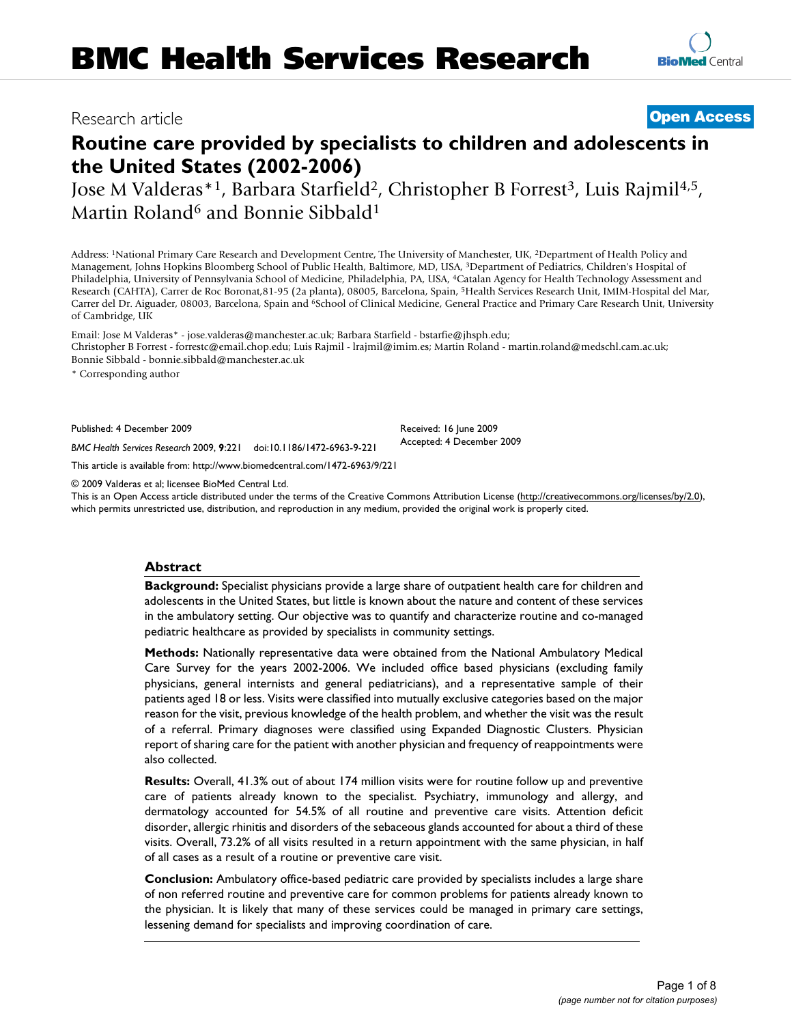# Research article **[Open Access](http://www.biomedcentral.com/info/about/charter/)**

**[BioMed](http://www.biomedcentral.com/)** Central

# **Routine care provided by specialists to children and adolescents in the United States (2002-2006)**

Jose M Valderas\*<sup>1</sup>, Barbara Starfield<sup>2</sup>, Christopher B Forrest<sup>3</sup>, Luis Rajmil<sup>4,5</sup>, Martin Roland<sup>6</sup> and Bonnie Sibbald<sup>1</sup>

Address: 1National Primary Care Research and Development Centre, The University of Manchester, UK, 2Department of Health Policy and Management, Johns Hopkins Bloomberg School of Public Health, Baltimore, MD, USA, 3Department of Pediatrics, Children's Hospital of Philadelphia, University of Pennsylvania School of Medicine, Philadelphia, PA, USA, 4Catalan Agency for Health Technology Assessment and Research (CAHTA), Carrer de Roc Boronat,81-95 (2a planta), 08005, Barcelona, Spain, 5Health Services Research Unit, IMIM-Hospital del Mar, Carrer del Dr. Aiguader, 08003, Barcelona, Spain and 6School of Clinical Medicine, General Practice and Primary Care Research Unit, University of Cambridge, UK

Email: Jose M Valderas\* - jose.valderas@manchester.ac.uk; Barbara Starfield - bstarfie@jhsph.edu; Christopher B Forrest - forrestc@email.chop.edu; Luis Rajmil - lrajmil@imim.es; Martin Roland - martin.roland@medschl.cam.ac.uk; Bonnie Sibbald - bonnie.sibbald@manchester.ac.uk

\* Corresponding author

Published: 4 December 2009

Received: 16 June 2009 Accepted: 4 December 2009

*BMC Health Services Research* 2009, **9**:221 doi:10.1186/1472-6963-9-221 [This article is available from: http://www.biomedcentral.com/1472-6963/9/221](http://www.biomedcentral.com/1472-6963/9/221)

© 2009 Valderas et al; licensee BioMed Central Ltd.

This is an Open Access article distributed under the terms of the Creative Commons Attribution License [\(http://creativecommons.org/licenses/by/2.0\)](http://creativecommons.org/licenses/by/2.0), which permits unrestricted use, distribution, and reproduction in any medium, provided the original work is properly cited.

#### **Abstract**

**Background:** Specialist physicians provide a large share of outpatient health care for children and adolescents in the United States, but little is known about the nature and content of these services in the ambulatory setting. Our objective was to quantify and characterize routine and co-managed pediatric healthcare as provided by specialists in community settings.

**Methods:** Nationally representative data were obtained from the National Ambulatory Medical Care Survey for the years 2002-2006. We included office based physicians (excluding family physicians, general internists and general pediatricians), and a representative sample of their patients aged 18 or less. Visits were classified into mutually exclusive categories based on the major reason for the visit, previous knowledge of the health problem, and whether the visit was the result of a referral. Primary diagnoses were classified using Expanded Diagnostic Clusters. Physician report of sharing care for the patient with another physician and frequency of reappointments were also collected.

**Results:** Overall, 41.3% out of about 174 million visits were for routine follow up and preventive care of patients already known to the specialist. Psychiatry, immunology and allergy, and dermatology accounted for 54.5% of all routine and preventive care visits. Attention deficit disorder, allergic rhinitis and disorders of the sebaceous glands accounted for about a third of these visits. Overall, 73.2% of all visits resulted in a return appointment with the same physician, in half of all cases as a result of a routine or preventive care visit.

**Conclusion:** Ambulatory office-based pediatric care provided by specialists includes a large share of non referred routine and preventive care for common problems for patients already known to the physician. It is likely that many of these services could be managed in primary care settings, lessening demand for specialists and improving coordination of care.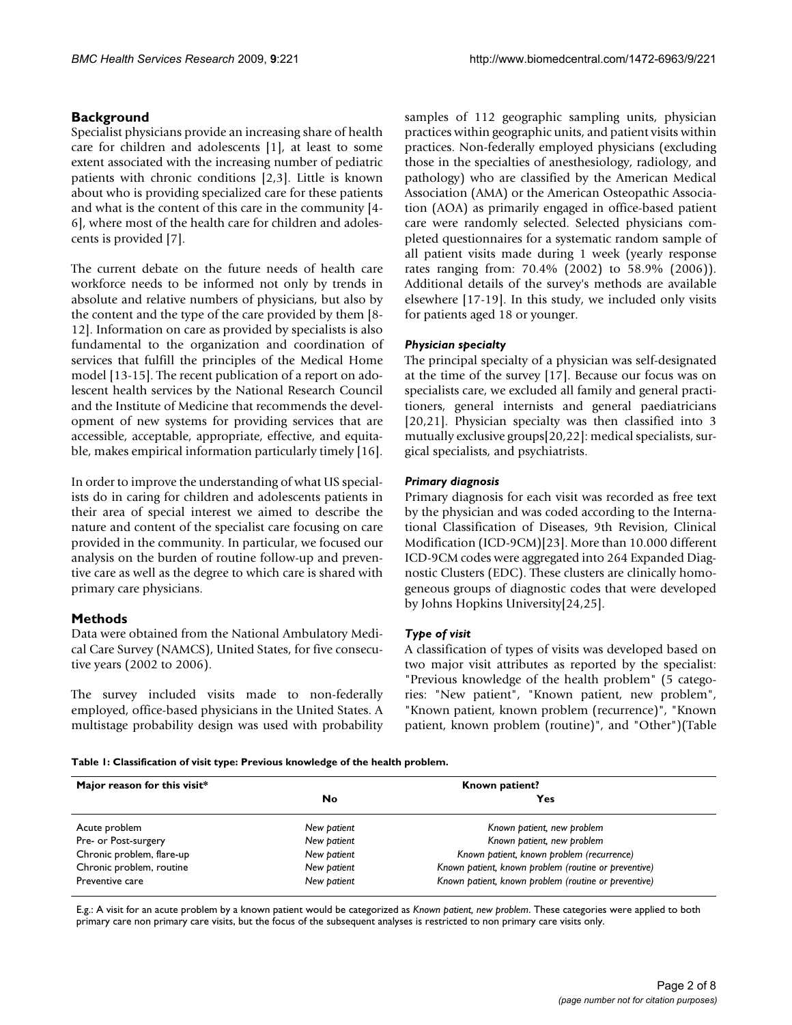### **Background**

Specialist physicians provide an increasing share of health care for children and adolescents [\[1](#page-6-0)], at least to some extent associated with the increasing number of pediatric patients with chronic conditions [[2](#page-6-1),[3](#page-6-2)]. Little is known about who is providing specialized care for these patients and what is the content of this care in the community [[4](#page-6-3)- [6\]](#page-6-4), where most of the health care for children and adolescents is provided [[7](#page-6-5)].

The current debate on the future needs of health care workforce needs to be informed not only by trends in absolute and relative numbers of physicians, but also by the content and the type of the care provided by them [[8](#page-6-6)- [12\]](#page-7-0). Information on care as provided by specialists is also fundamental to the organization and coordination of services that fulfill the principles of the Medical Home model [\[13-](#page-7-1)[15\]](#page-7-2). The recent publication of a report on adolescent health services by the National Research Council and the Institute of Medicine that recommends the development of new systems for providing services that are accessible, acceptable, appropriate, effective, and equitable, makes empirical information particularly timely [\[16](#page-7-3)].

In order to improve the understanding of what US specialists do in caring for children and adolescents patients in their area of special interest we aimed to describe the nature and content of the specialist care focusing on care provided in the community. In particular, we focused our analysis on the burden of routine follow-up and preventive care as well as the degree to which care is shared with primary care physicians.

#### **Methods**

Data were obtained from the National Ambulatory Medical Care Survey (NAMCS), United States, for five consecutive years (2002 to 2006).

The survey included visits made to non-federally employed, office-based physicians in the United States. A multistage probability design was used with probability samples of 112 geographic sampling units, physician practices within geographic units, and patient visits within practices. Non-federally employed physicians (excluding those in the specialties of anesthesiology, radiology, and pathology) who are classified by the American Medical Association (AMA) or the American Osteopathic Association (AOA) as primarily engaged in office-based patient care were randomly selected. Selected physicians completed questionnaires for a systematic random sample of all patient visits made during 1 week (yearly response rates ranging from: 70.4% (2002) to 58.9% (2006)). Additional details of the survey's methods are available elsewhere [\[17-](#page-7-4)[19\]](#page-7-5). In this study, we included only visits for patients aged 18 or younger.

### *Physician specialty*

The principal specialty of a physician was self-designated at the time of the survey [[17](#page-7-4)]. Because our focus was on specialists care, we excluded all family and general practitioners, general internists and general paediatricians [[20](#page-7-6),[21\]](#page-7-7). Physician specialty was then classified into 3 mutually exclusive groups[[20](#page-7-6),[22\]](#page-7-8): medical specialists, surgical specialists, and psychiatrists.

#### *Primary diagnosis*

Primary diagnosis for each visit was recorded as free text by the physician and was coded according to the International Classification of Diseases, 9th Revision, Clinical Modification (ICD-9CM)[\[23](#page-7-9)]. More than 10.000 different ICD-9CM codes were aggregated into 264 Expanded Diagnostic Clusters (EDC). These clusters are clinically homogeneous groups of diagnostic codes that were developed by Johns Hopkins University[[24,](#page-7-10)[25\]](#page-7-11).

#### *Type of visit*

A classification of types of visits was developed based on two major visit attributes as reported by the specialist: "Previous knowledge of the health problem" (5 categories: "New patient", "Known patient, new problem", "Known patient, known problem (recurrence)", "Known patient, known problem (routine)", and "Other")(Table

<span id="page-1-0"></span>**Table 1: Classification of visit type: Previous knowledge of the health problem.**

| Major reason for this visit* | Known patient? |                                                      |  |  |
|------------------------------|----------------|------------------------------------------------------|--|--|
|                              | No             | Yes                                                  |  |  |
| Acute problem                | New patient    | Known patient, new problem                           |  |  |
| Pre- or Post-surgery         | New patient    | Known patient, new problem                           |  |  |
| Chronic problem, flare-up    | New patient    | Known patient, known problem (recurrence)            |  |  |
| Chronic problem, routine     | New patient    | Known patient, known problem (routine or preventive) |  |  |
| Preventive care              | New patient    | Known patient, known problem (routine or preventive) |  |  |

E.g.: A visit for an acute problem by a known patient would be categorized as *Known patient, new problem*. These categories were applied to both primary care non primary care visits, but the focus of the subsequent analyses is restricted to non primary care visits only.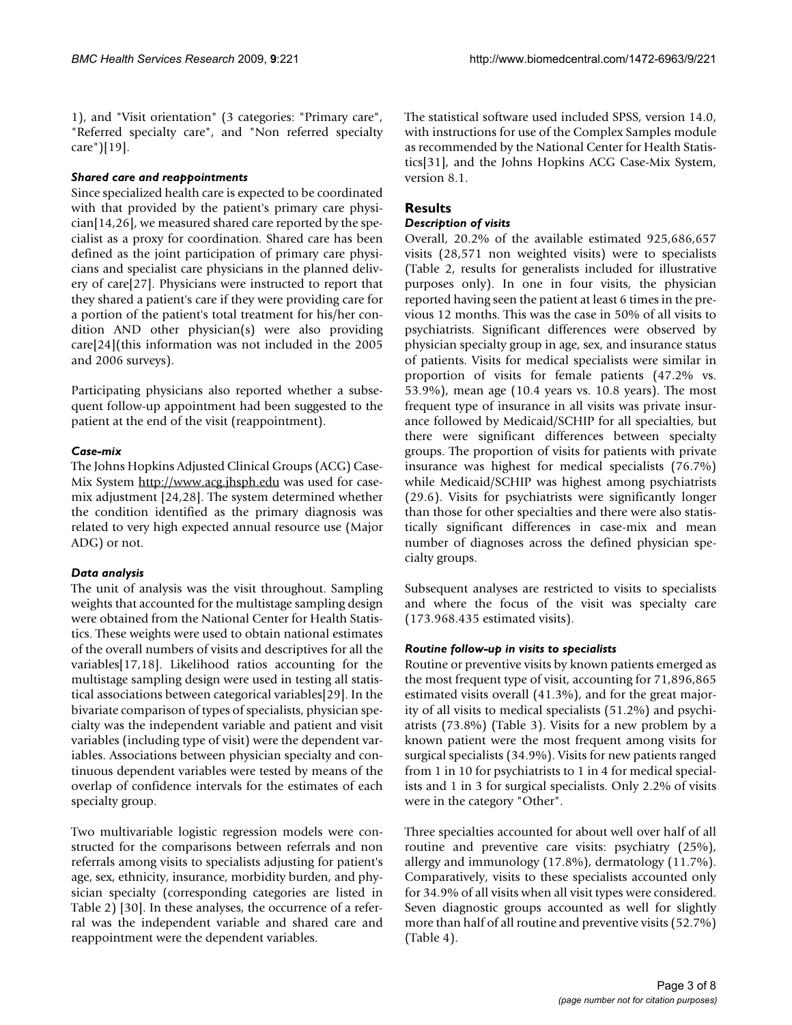[1\)](#page-1-0), and "Visit orientation" (3 categories: "Primary care", "Referred specialty care", and "Non referred specialty care")[[19](#page-7-5)].

## *Shared care and reappointments*

Since specialized health care is expected to be coordinated with that provided by the patient's primary care physician[\[14](#page-7-12)[,26](#page-7-13)], we measured shared care reported by the specialist as a proxy for coordination. Shared care has been defined as the joint participation of primary care physicians and specialist care physicians in the planned delivery of care[\[27](#page-7-14)]. Physicians were instructed to report that they shared a patient's care if they were providing care for a portion of the patient's total treatment for his/her condition AND other physician(s) were also providing care[\[24](#page-7-10)](this information was not included in the 2005 and 2006 surveys).

Participating physicians also reported whether a subsequent follow-up appointment had been suggested to the patient at the end of the visit (reappointment).

### *Case-mix*

The Johns Hopkins Adjusted Clinical Groups (ACG) Case-Mix System <http://www.acg.jhsph.edu> was used for casemix adjustment [[24,](#page-7-10)[28\]](#page-7-15). The system determined whether the condition identified as the primary diagnosis was related to very high expected annual resource use (Major ADG) or not.

# *Data analysis*

The unit of analysis was the visit throughout. Sampling weights that accounted for the multistage sampling design were obtained from the National Center for Health Statistics. These weights were used to obtain national estimates of the overall numbers of visits and descriptives for all the variables[[17,](#page-7-4)[18\]](#page-7-16). Likelihood ratios accounting for the multistage sampling design were used in testing all statistical associations between categorical variables[[29](#page-7-17)]. In the bivariate comparison of types of specialists, physician specialty was the independent variable and patient and visit variables (including type of visit) were the dependent variables. Associations between physician specialty and continuous dependent variables were tested by means of the overlap of confidence intervals for the estimates of each specialty group.

Two multivariable logistic regression models were constructed for the comparisons between referrals and non referrals among visits to specialists adjusting for patient's age, sex, ethnicity, insurance, morbidity burden, and physician specialty (corresponding categories are listed in Table [2](#page-3-0)) [\[30\]](#page-7-18). In these analyses, the occurrence of a referral was the independent variable and shared care and reappointment were the dependent variables.

The statistical software used included SPSS, version 14.0, with instructions for use of the Complex Samples module as recommended by the National Center for Health Statistics[\[31](#page-7-19)], and the Johns Hopkins ACG Case-Mix System, version 8.1.

# **Results**

#### *Description of visits*

Overall, 20.2% of the available estimated 925,686,657 visits (28,571 non weighted visits) were to specialists (Table [2,](#page-3-0) results for generalists included for illustrative purposes only). In one in four visits, the physician reported having seen the patient at least 6 times in the previous 12 months. This was the case in 50% of all visits to psychiatrists. Significant differences were observed by physician specialty group in age, sex, and insurance status of patients. Visits for medical specialists were similar in proportion of visits for female patients (47.2% vs. 53.9%), mean age (10.4 years vs. 10.8 years). The most frequent type of insurance in all visits was private insurance followed by Medicaid/SCHIP for all specialties, but there were significant differences between specialty groups. The proportion of visits for patients with private insurance was highest for medical specialists (76.7%) while Medicaid/SCHIP was highest among psychiatrists (29.6). Visits for psychiatrists were significantly longer than those for other specialties and there were also statistically significant differences in case-mix and mean number of diagnoses across the defined physician specialty groups.

Subsequent analyses are restricted to visits to specialists and where the focus of the visit was specialty care (173.968.435 estimated visits).

# *Routine follow-up in visits to specialists*

Routine or preventive visits by known patients emerged as the most frequent type of visit, accounting for 71,896,865 estimated visits overall (41.3%), and for the great majority of all visits to medical specialists (51.2%) and psychiatrists (73.8%) (Table [3\)](#page-4-0). Visits for a new problem by a known patient were the most frequent among visits for surgical specialists (34.9%). Visits for new patients ranged from 1 in 10 for psychiatrists to 1 in 4 for medical specialists and 1 in 3 for surgical specialists. Only 2.2% of visits were in the category "Other".

Three specialties accounted for about well over half of all routine and preventive care visits: psychiatry (25%), allergy and immunology (17.8%), dermatology (11.7%). Comparatively, visits to these specialists accounted only for 34.9% of all visits when all visit types were considered. Seven diagnostic groups accounted as well for slightly more than half of all routine and preventive visits (52.7%) (Table [4\)](#page-5-0).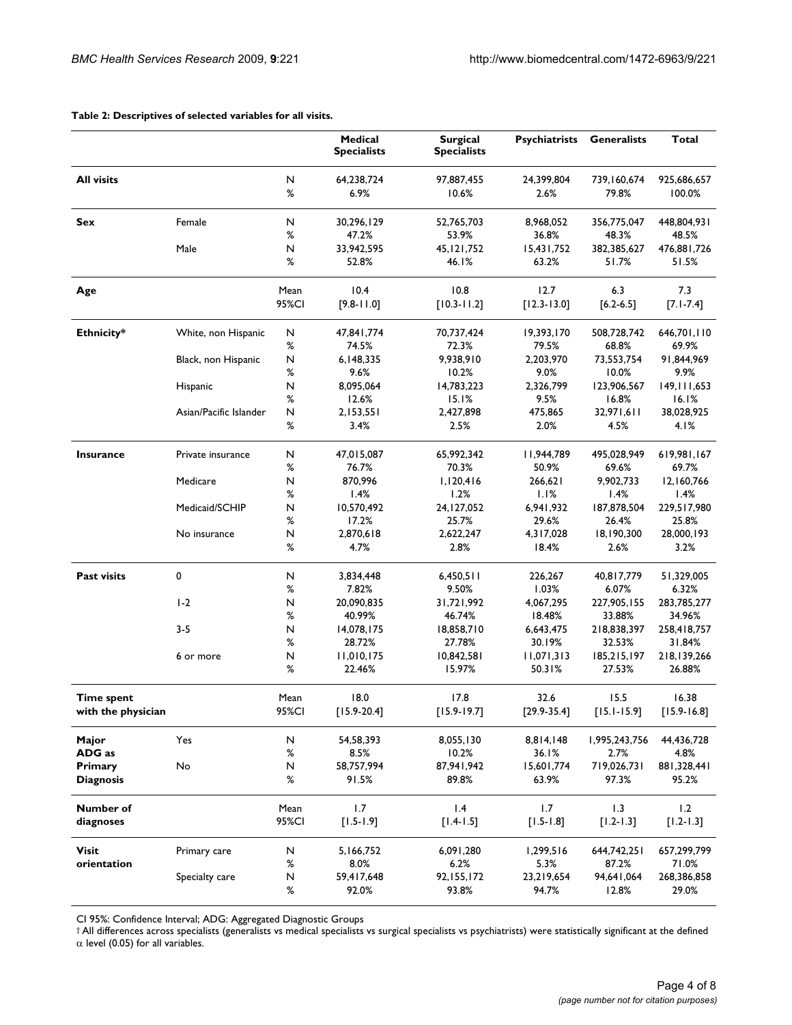|                                  |                        |               | Medical<br><b>Specialists</b> | <b>Surgical</b><br><b>Specialists</b> | <b>Psychiatrists</b>    | <b>Generalists</b>      | Total                    |
|----------------------------------|------------------------|---------------|-------------------------------|---------------------------------------|-------------------------|-------------------------|--------------------------|
| <b>All visits</b>                |                        | Ν<br>%        | 64,238,724<br>6.9%            | 97,887,455<br>10.6%                   | 24,399,804<br>2.6%      | 739,160,674<br>79.8%    | 925,686,657<br>100.0%    |
| Sex                              | Female                 | N<br>%        | 30,296,129<br>47.2%           | 52,765,703<br>53.9%                   | 8,968,052<br>36.8%      | 356,775,047<br>48.3%    | 448,804,931<br>48.5%     |
|                                  | Male                   | Ν<br>$\%$     | 33,942,595<br>52.8%           | 45, 121, 752<br>46.I%                 | 15,431,752<br>63.2%     | 382,385,627<br>51.7%    | 476,881,726<br>51.5%     |
| Age                              |                        | Mean<br>95%CI | 10.4<br>$[9.8 - 11.0]$        | 10.8<br>$[10.3 - 11.2]$               | 12.7<br>$[12.3 - 13.0]$ | 6.3<br>$[6.2 - 6.5]$    | 7.3<br>$[7.1 - 7.4]$     |
| Ethnicity*                       | White, non Hispanic    | N<br>%        | 47,841,774<br>74.5%           | 70,737,424<br>72.3%                   | 19,393,170<br>79.5%     | 508,728,742<br>68.8%    | 646,701,110<br>69.9%     |
|                                  | Black, non Hispanic    | Ν<br>$\%$     | 6,148,335<br>9.6%             | 9,938,910<br>10.2%                    | 2,203,970<br>9.0%       | 73,553,754<br>10.0%     | 91,844,969<br>9.9%       |
|                                  | Hispanic               | Ν<br>%        | 8,095,064<br>12.6%            | 14,783,223<br>15.1%                   | 2,326,799<br>9.5%       | 123,906,567<br>16.8%    | 149, 111, 653<br>16.1%   |
|                                  | Asian/Pacific Islander | N<br>%        | 2,153,551<br>3.4%             | 2,427,898<br>2.5%                     | 475,865<br>2.0%         | 32,971,611<br>4.5%      | 38,028,925<br>4.1%       |
| <b>Insurance</b>                 | Private insurance      | N<br>$\%$     | 47,015,087<br>76.7%           | 65,992,342<br>70.3%                   | 11,944,789<br>50.9%     | 495,028,949<br>69.6%    | 619,981,167<br>69.7%     |
|                                  | Medicare               | Ν<br>$\%$     | 870,996<br>1.4%               | 1,120,416<br>1.2%                     | 266,621<br>1.1%         | 9,902,733<br>1.4%       | 12,160,766<br>1.4%       |
|                                  | Medicaid/SCHIP         | N<br>%        | 10,570,492<br>17.2%           | 24, 127, 052<br>25.7%                 | 6,941,932<br>29.6%      | 187,878,504<br>26.4%    | 229,517,980<br>25.8%     |
|                                  | No insurance           | Ν<br>$\%$     | 2,870,618<br>4.7%             | 2,622,247<br>2.8%                     | 4,317,028<br>18.4%      | 18,190,300<br>2.6%      | 28,000,193<br>3.2%       |
| <b>Past visits</b>               | 0                      | Ν<br>$\%$     | 3,834,448<br>7.82%            | 6,450,511<br>9.50%                    | 226,267<br>1.03%        | 40,817,779<br>6.07%     | 51,329,005<br>6.32%      |
|                                  | $1-2$                  | Ν<br>%        | 20,090,835<br>40.99%          | 31,721,992<br>46.74%                  | 4,067,295<br>18.48%     | 227,905,155<br>33.88%   | 283,785,277<br>34.96%    |
|                                  | $3 - 5$                | Ν<br>$\%$     | 14,078,175<br>28.72%          | 18,858,710<br>27.78%                  | 6,643,475<br>30.19%     | 218,838,397<br>32.53%   | 258,418,757<br>31.84%    |
|                                  | 6 or more              | N<br>$\%$     | 11,010,175<br>22.46%          | 10,842,581<br>15.97%                  | 11,071,313<br>50.31%    | 185,215,197<br>27.53%   | 218,139,266<br>26.88%    |
| Time spent<br>with the physician |                        | Mean<br>95%CI | 18.0<br>$[15.9 - 20.4]$       | 17.8<br>$[15.9 - 19.7]$               | 32.6<br>$[29.9 - 35.4]$ | 15.5<br>$[15.1 - 15.9]$ | 16.38<br>$[15.9 - 16.8]$ |
| Major<br>ADG as                  | Yes                    | N<br>%        | 54,58,393<br>8.5%             | 8,055,130<br>10.2%                    | 8,814,148<br>36.1%      | 1,995,243,756<br>2.7%   | 44,436,728<br>4.8%       |
| Primary<br><b>Diagnosis</b>      | No                     | N<br>%        | 58,757,994<br>91.5%           | 87,941,942<br>89.8%                   | 15,601,774<br>63.9%     | 719,026,731<br>97.3%    | 881,328,441<br>95.2%     |
| Number of<br>diagnoses           |                        | Mean<br>95%CI | 1.7<br>$[1.5 - 1.9]$          | 1.4<br>$[1.4 - 1.5]$                  | 1.7<br>$[1.5 - 1.8]$    | 1.3<br>$[1.2 - 1.3]$    | 1.2<br>$[1.2 - 1.3]$     |
| Visit<br>orientation             | Primary care           | N<br>$\%$     | 5,166,752<br>8.0%             | 6,091,280<br>6.2%                     | 1,299,516<br>5.3%       | 644,742,251<br>87.2%    | 657,299,799<br>71.0%     |
|                                  | Specialty care         | N<br>%        | 59,417,648<br>92.0%           | 92, 155, 172<br>93.8%                 | 23,219,654<br>94.7%     | 94,641,064<br>12.8%     | 268,386,858<br>29.0%     |

#### <span id="page-3-0"></span>**Table 2: Descriptives of selected variables for all visits.**

CI 95%: Confidence Interval; ADG: Aggregated Diagnostic Groups

† All differences across specialists (generalists vs medical specialists vs surgical specialists vs psychiatrists) were statistically significant at the defined α level (0.05) for all variables.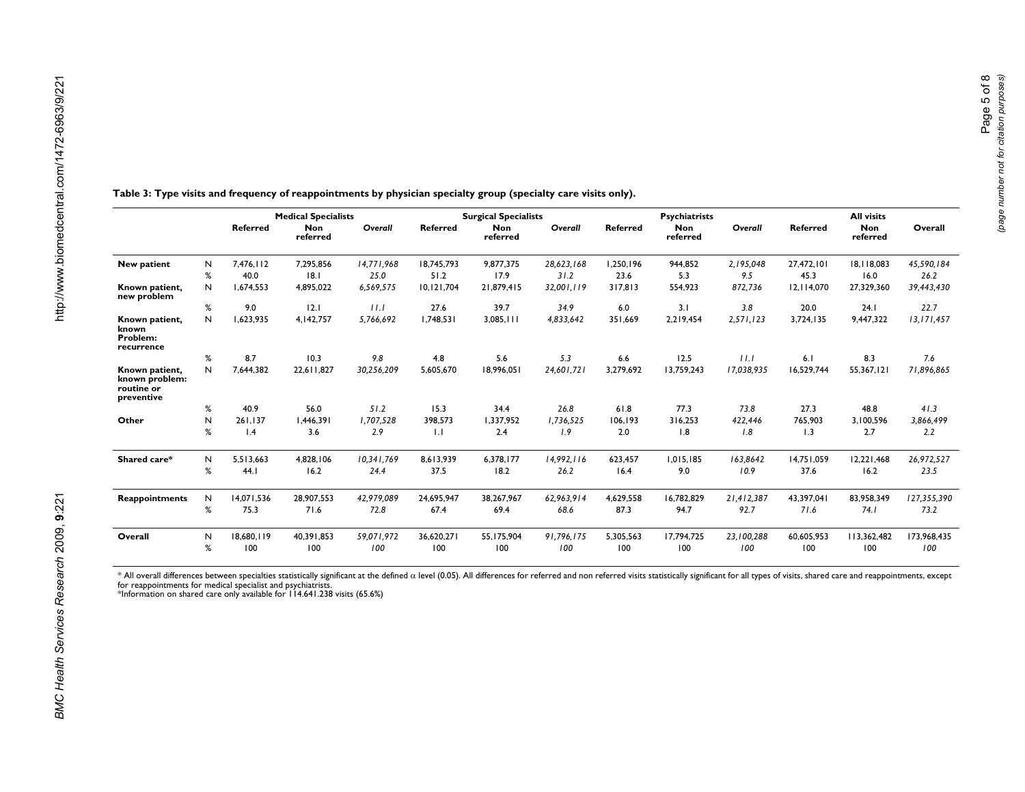|        | <b>Referred</b>   | <b>Non</b>        | Overall           |                   | <b>Surgical Specialists</b> |                   | <b>Psychiatrists</b> |                        |                   |                   |                        |                    |
|--------|-------------------|-------------------|-------------------|-------------------|-----------------------------|-------------------|----------------------|------------------------|-------------------|-------------------|------------------------|--------------------|
|        |                   | referred          |                   | <b>Referred</b>   | <b>Non</b><br>referred      | Overall           | <b>Referred</b>      | <b>Non</b><br>referred | Overall           | <b>Referred</b>   | <b>Non</b><br>referred | Overall            |
| N      | 7.476.112         | 7.295.856         | 14,771,968        | 18.745.793        | 9.877.375                   | 28,623,168        | 1.250.196            | 944.852                | 2,195,048         | 27,472,101        | 18.118.083             | 45,590,184         |
| %      | 40.0              | 8.1               | 25.0              | 51.2              | 17.9                        | 31.2              | 23.6                 | 5.3                    | 9.5               | 45.3              | 16.0                   | 26.2               |
| N      | 1.674.553         | 4,895,022         | 6,569,575         | 10,121,704        | 21,879,415                  | 32,001,119        | 317.813              | 554.923                | 872,736           | 12.114.070        | 27,329,360             | 39,443,430         |
| $\%$   | 9.0               | 2.1               | 11.1              | 27.6              | 39.7                        | 34.9              | 6.0                  | 3.1                    | 3.8               | 20.0              | 24.1                   | 22.7               |
| N      | 1.623.935         | 4.142.757         | 5,766,692         | 1.748.531         | 3.085.111                   | 4,833,642         | 351.669              | 2,219,454              | 2,571,123         | 3.724.135         | 9,447,322              | 13, 171, 457       |
| %      | 8.7               | 10.3              | 9.8               | 4.8               | 5.6                         | 5.3               | 6.6                  | 12.5                   | 11.1              | 6.1               | 8.3                    | 7.6                |
| N      | 7.644.382         | 22.611.827        | 30,256,209        | 5.605.670         | 18.996.051                  | 24.601.721        | 3.279.692            | 13.759.243             | 17.038.935        | 16.529.744        | 55.367.121             | 71,896,865         |
| %      | 40.9              | 56.0              | 51.2              | 15.3              | 34.4                        | 26.8              | 61.8                 | 77.3                   | 73.8              | 27.3              | 48.8                   | 41.3               |
| N      | 261.137           | 1.446.391         | 1.707.528         | 398.573           | 1.337.952                   | 1.736.525         | 106.193              | 316.253                | 422.446           | 765,903           | 3.100.596              | 3,866,499          |
| %      | $\mathsf{I}$ .4   | 3.6               | 2.9               | $\mathbf{L}$      | 2.4                         | 1.9               | 2.0                  | 1.8                    | 1.8               | 1.3               | 2.7                    | 2.2                |
| N      | 5.513.663         | 4.828.106         | 10.341.769        | 8.613.939         | 6.378.177                   | 14.992.116        | 623.457              | 1.015.185              | 163.8642          | 14.751.059        | 12.221.468             | 26,972,527<br>23.5 |
|        |                   |                   |                   |                   |                             |                   |                      |                        |                   |                   |                        |                    |
| N      | 14.071.536        | 28.907.553        | 42.979.089        | 24.695.947        | 38.267.967                  | 62.963.914        | 4.629.558            | 16.782.829             | 21.412.387        | 43.397.041        | 83,958,349             | 127,355,390        |
| %      | 75.3              | 71.6              | 72.8              | 67.4              | 69.4                        | 68.6              | 87.3                 | 94.7                   | 92.7              | 71.6              | 74.1                   | 73.2               |
| N<br>% | 18.680.119<br>100 | 40.391.853<br>100 | 59,071,972<br>100 | 36.620.271<br>100 | 55.175.904<br>100           | 91,796,175<br>100 | 5,305,563<br>100     | 17.794.725<br>100      | 23.100.288<br>100 | 60.605.953<br>100 | 113.362.482<br>100     | 173,968,435<br>100 |
|        | %                 | 44.1              | 16.2              | 24.4              | 37.5                        | 18.2              | 26.2                 | 16.4                   | 9.0               | 10.9              | 37.6                   | 16.2               |

**Table 3: Type visits and frequency of reappointments by physician specialty group (specialty care visits only).**

\* All overall differences between specialties statistically significant at the defined α level (0.05). All differences for referred and non referred visits statistically significant for all types of visits, shared care an

<span id="page-4-0"></span>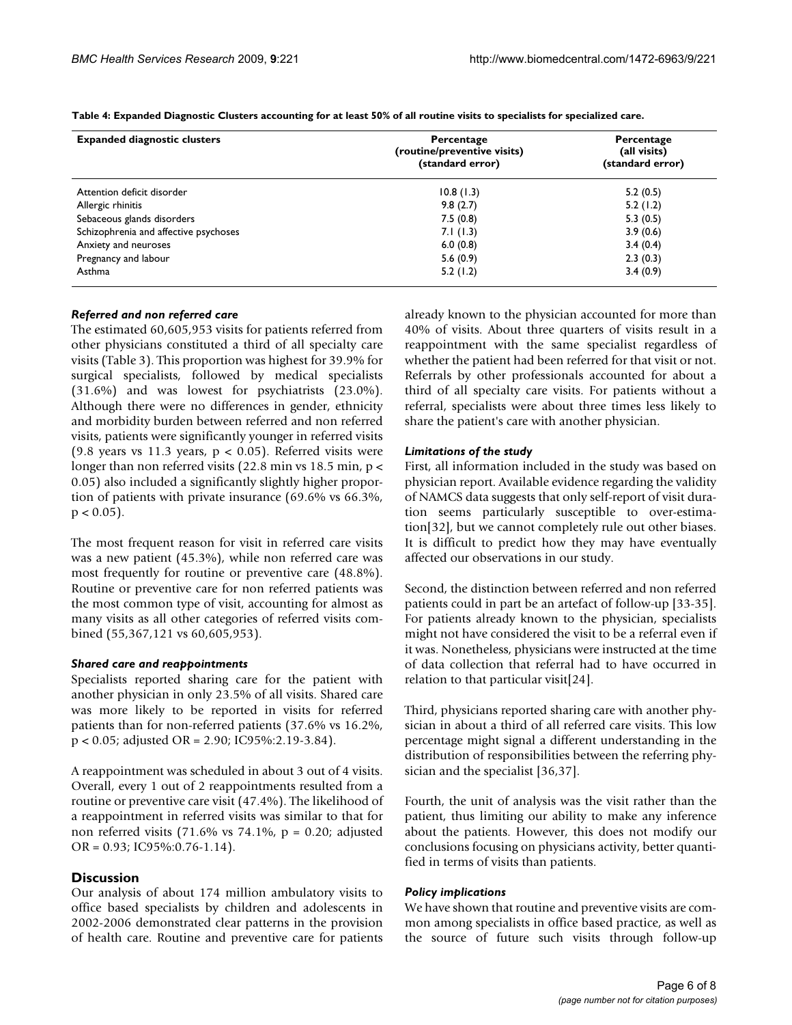| <b>Expanded diagnostic clusters</b>   | Percentage<br>(routine/preventive visits)<br>(standard error) | Percentage<br>(all visits)<br>(standard error) |  |  |
|---------------------------------------|---------------------------------------------------------------|------------------------------------------------|--|--|
| Attention deficit disorder            | 10.8(1.3)                                                     | 5.2(0.5)                                       |  |  |
| Allergic rhinitis                     | 9.8(2.7)                                                      | 5.2(1.2)                                       |  |  |
| Sebaceous glands disorders            | 7.5(0.8)                                                      | 5.3(0.5)                                       |  |  |
| Schizophrenia and affective psychoses | 7.1(1.3)                                                      | 3.9(0.6)                                       |  |  |
| Anxiety and neuroses                  | 6.0(0.8)                                                      | 3.4(0.4)                                       |  |  |
| Pregnancy and labour                  | 5.6(0.9)                                                      | 2.3(0.3)                                       |  |  |
| Asthma                                | 5.2(1.2)                                                      | 3.4(0.9)                                       |  |  |

<span id="page-5-0"></span>**Table 4: Expanded Diagnostic Clusters accounting for at least 50% of all routine visits to specialists for specialized care.**

#### *Referred and non referred care*

The estimated 60,605,953 visits for patients referred from other physicians constituted a third of all specialty care visits (Table [3\)](#page-4-0). This proportion was highest for 39.9% for surgical specialists, followed by medical specialists (31.6%) and was lowest for psychiatrists (23.0%). Although there were no differences in gender, ethnicity and morbidity burden between referred and non referred visits, patients were significantly younger in referred visits (9.8 years vs 11.3 years,  $p < 0.05$ ). Referred visits were longer than non referred visits (22.8 min vs 18.5 min,  $p <$ 0.05) also included a significantly slightly higher proportion of patients with private insurance (69.6% vs 66.3%,  $p < 0.05$ ).

The most frequent reason for visit in referred care visits was a new patient (45.3%), while non referred care was most frequently for routine or preventive care (48.8%). Routine or preventive care for non referred patients was the most common type of visit, accounting for almost as many visits as all other categories of referred visits combined (55,367,121 vs 60,605,953).

#### *Shared care and reappointments*

Specialists reported sharing care for the patient with another physician in only 23.5% of all visits. Shared care was more likely to be reported in visits for referred patients than for non-referred patients (37.6% vs 16.2%, p < 0.05; adjusted OR = 2.90; IC95%:2.19-3.84).

A reappointment was scheduled in about 3 out of 4 visits. Overall, every 1 out of 2 reappointments resulted from a routine or preventive care visit (47.4%). The likelihood of a reappointment in referred visits was similar to that for non referred visits  $(71.6\% \text{ vs } 74.1\% , p = 0.20; \text{ adjusted})$ OR = 0.93; IC95%:0.76-1.14).

#### **Discussion**

Our analysis of about 174 million ambulatory visits to office based specialists by children and adolescents in 2002-2006 demonstrated clear patterns in the provision of health care. Routine and preventive care for patients already known to the physician accounted for more than 40% of visits. About three quarters of visits result in a reappointment with the same specialist regardless of whether the patient had been referred for that visit or not. Referrals by other professionals accounted for about a third of all specialty care visits. For patients without a referral, specialists were about three times less likely to share the patient's care with another physician.

#### *Limitations of the study*

First, all information included in the study was based on physician report. Available evidence regarding the validity of NAMCS data suggests that only self-report of visit duration seems particularly susceptible to over-estimation[[32\]](#page-7-20), but we cannot completely rule out other biases. It is difficult to predict how they may have eventually affected our observations in our study.

Second, the distinction between referred and non referred patients could in part be an artefact of follow-up [\[33](#page-7-21)[-35](#page-7-22)]. For patients already known to the physician, specialists might not have considered the visit to be a referral even if it was. Nonetheless, physicians were instructed at the time of data collection that referral had to have occurred in relation to that particular visit[\[24](#page-7-10)].

Third, physicians reported sharing care with another physician in about a third of all referred care visits. This low percentage might signal a different understanding in the distribution of responsibilities between the referring physician and the specialist [\[36](#page-7-23),[37\]](#page-7-24).

Fourth, the unit of analysis was the visit rather than the patient, thus limiting our ability to make any inference about the patients. However, this does not modify our conclusions focusing on physicians activity, better quantified in terms of visits than patients.

#### *Policy implications*

We have shown that routine and preventive visits are common among specialists in office based practice, as well as the source of future such visits through follow-up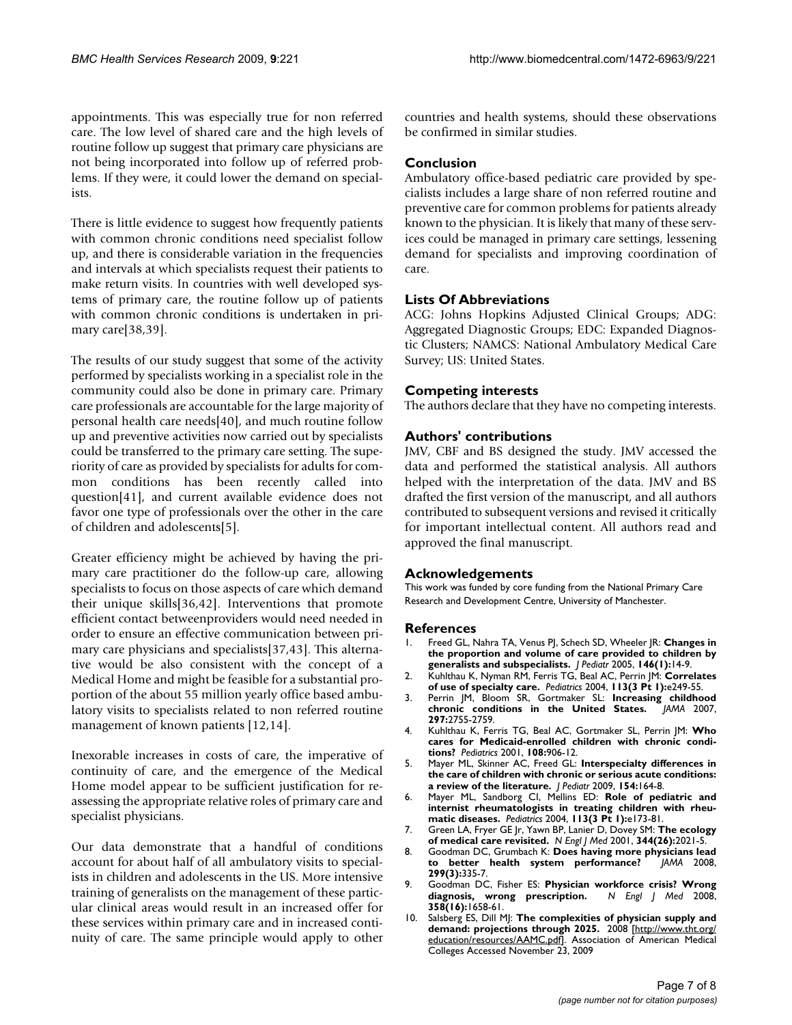appointments. This was especially true for non referred care. The low level of shared care and the high levels of routine follow up suggest that primary care physicians are not being incorporated into follow up of referred problems. If they were, it could lower the demand on specialists.

There is little evidence to suggest how frequently patients with common chronic conditions need specialist follow up, and there is considerable variation in the frequencies and intervals at which specialists request their patients to make return visits. In countries with well developed systems of primary care, the routine follow up of patients with common chronic conditions is undertaken in primary care[\[38](#page-7-25),[39](#page-7-26)].

The results of our study suggest that some of the activity performed by specialists working in a specialist role in the community could also be done in primary care. Primary care professionals are accountable for the large majority of personal health care needs[\[40](#page-7-27)], and much routine follow up and preventive activities now carried out by specialists could be transferred to the primary care setting. The superiority of care as provided by specialists for adults for common conditions has been recently called into question[\[41](#page-7-28)], and current available evidence does not favor one type of professionals over the other in the care of children and adolescents[\[5\]](#page-6-7).

Greater efficiency might be achieved by having the primary care practitioner do the follow-up care, allowing specialists to focus on those aspects of care which demand their unique skills[\[36](#page-7-23),[42\]](#page-7-29). Interventions that promote efficient contact betweenproviders would need needed in order to ensure an effective communication between primary care physicians and specialists[\[37](#page-7-24),[43\]](#page-7-30). This alternative would be also consistent with the concept of a Medical Home and might be feasible for a substantial proportion of the about 55 million yearly office based ambulatory visits to specialists related to non referred routine management of known patients [\[12](#page-7-0)[,14](#page-7-12)].

Inexorable increases in costs of care, the imperative of continuity of care, and the emergence of the Medical Home model appear to be sufficient justification for reassessing the appropriate relative roles of primary care and specialist physicians.

Our data demonstrate that a handful of conditions account for about half of all ambulatory visits to specialists in children and adolescents in the US. More intensive training of generalists on the management of these particular clinical areas would result in an increased offer for these services within primary care and in increased continuity of care. The same principle would apply to other countries and health systems, should these observations be confirmed in similar studies.

# **Conclusion**

Ambulatory office-based pediatric care provided by specialists includes a large share of non referred routine and preventive care for common problems for patients already known to the physician. It is likely that many of these services could be managed in primary care settings, lessening demand for specialists and improving coordination of care.

# **Lists Of Abbreviations**

ACG: Johns Hopkins Adjusted Clinical Groups; ADG: Aggregated Diagnostic Groups; EDC: Expanded Diagnostic Clusters; NAMCS: National Ambulatory Medical Care Survey; US: United States.

# **Competing interests**

The authors declare that they have no competing interests.

# **Authors' contributions**

JMV, CBF and BS designed the study. JMV accessed the data and performed the statistical analysis. All authors helped with the interpretation of the data. JMV and BS drafted the first version of the manuscript, and all authors contributed to subsequent versions and revised it critically for important intellectual content. All authors read and approved the final manuscript.

# **Acknowledgements**

This work was funded by core funding from the National Primary Care Research and Development Centre, University of Manchester.

# **References**

- <span id="page-6-0"></span>1. Freed GL, Nahra TA, Venus PJ, Schech SD, Wheeler JR: **[Changes in](http://www.ncbi.nlm.nih.gov/entrez/query.fcgi?cmd=Retrieve&db=PubMed&dopt=Abstract&list_uids=15644815) [the proportion and volume of care provided to children by](http://www.ncbi.nlm.nih.gov/entrez/query.fcgi?cmd=Retrieve&db=PubMed&dopt=Abstract&list_uids=15644815) [generalists and subspecialists.](http://www.ncbi.nlm.nih.gov/entrez/query.fcgi?cmd=Retrieve&db=PubMed&dopt=Abstract&list_uids=15644815)** *J Pediatr* 2005, **146(1):**14-9.
- <span id="page-6-1"></span>2. Kuhlthau K, Nyman RM, Ferris TG, Beal AC, Perrin JM: **[Correlates](http://www.ncbi.nlm.nih.gov/entrez/query.fcgi?cmd=Retrieve&db=PubMed&dopt=Abstract&list_uids=14993584) [of use of specialty care.](http://www.ncbi.nlm.nih.gov/entrez/query.fcgi?cmd=Retrieve&db=PubMed&dopt=Abstract&list_uids=14993584)** *Pediatrics* 2004, **113(3 Pt 1):**e249-55.
- <span id="page-6-2"></span>3. Perrin JM, Bloom SR, Gortmaker SL: **[Increasing childhood](http://www.ncbi.nlm.nih.gov/entrez/query.fcgi?cmd=Retrieve&db=PubMed&dopt=Abstract&list_uids=17595277) [chronic conditions in the United States.](http://www.ncbi.nlm.nih.gov/entrez/query.fcgi?cmd=Retrieve&db=PubMed&dopt=Abstract&list_uids=17595277)** *JAMA* 2007, **297:**2755-2759.
- <span id="page-6-3"></span>4. Kuhlthau K, Ferris TG, Beal AC, Gortmaker SL, Perrin JM: **[Who](http://www.ncbi.nlm.nih.gov/entrez/query.fcgi?cmd=Retrieve&db=PubMed&dopt=Abstract&list_uids=11581443) [cares for Medicaid-enrolled children with chronic condi](http://www.ncbi.nlm.nih.gov/entrez/query.fcgi?cmd=Retrieve&db=PubMed&dopt=Abstract&list_uids=11581443)[tions?](http://www.ncbi.nlm.nih.gov/entrez/query.fcgi?cmd=Retrieve&db=PubMed&dopt=Abstract&list_uids=11581443)** *Pediatrics* 2001, **108:**906-12.
- <span id="page-6-7"></span>5. Mayer ML, Skinner AC, Freed GL: **[Interspecialty differences in](http://www.ncbi.nlm.nih.gov/entrez/query.fcgi?cmd=Retrieve&db=PubMed&dopt=Abstract&list_uids=19150672) [the care of children with chronic or serious acute conditions:](http://www.ncbi.nlm.nih.gov/entrez/query.fcgi?cmd=Retrieve&db=PubMed&dopt=Abstract&list_uids=19150672) [a review of the literature.](http://www.ncbi.nlm.nih.gov/entrez/query.fcgi?cmd=Retrieve&db=PubMed&dopt=Abstract&list_uids=19150672)** *J Pediatr* 2009, **154:**164-8.
- <span id="page-6-4"></span>6. Mayer ML, Sandborg CI, Mellins ED: **[Role of pediatric and](http://www.ncbi.nlm.nih.gov/entrez/query.fcgi?cmd=Retrieve&db=PubMed&dopt=Abstract&list_uids=14993573) [internist rheumatologists in treating children with rheu](http://www.ncbi.nlm.nih.gov/entrez/query.fcgi?cmd=Retrieve&db=PubMed&dopt=Abstract&list_uids=14993573)[matic diseases.](http://www.ncbi.nlm.nih.gov/entrez/query.fcgi?cmd=Retrieve&db=PubMed&dopt=Abstract&list_uids=14993573)** *Pediatrics* 2004, **113(3 Pt 1):**e173-81.
- <span id="page-6-5"></span>7. Green LA, Fryer GE Jr, Yawn BP, Lanier D, Dovey SM: **[The ecology](http://www.ncbi.nlm.nih.gov/entrez/query.fcgi?cmd=Retrieve&db=PubMed&dopt=Abstract&list_uids=11430334) [of medical care revisited.](http://www.ncbi.nlm.nih.gov/entrez/query.fcgi?cmd=Retrieve&db=PubMed&dopt=Abstract&list_uids=11430334)** *N Engl J Med* 2001, **344(26):**2021-5.
- <span id="page-6-6"></span>8. Goodman DC, Grumbach K: **[Does having more physicians lead](http://www.ncbi.nlm.nih.gov/entrez/query.fcgi?cmd=Retrieve&db=PubMed&dopt=Abstract&list_uids=18212319)** [to better health system performance?](http://www.ncbi.nlm.nih.gov/entrez/query.fcgi?cmd=Retrieve&db=PubMed&dopt=Abstract&list_uids=18212319) **299(3):**335-7.
- 9. Goodman DC, Fisher ES: **[Physician workforce crisis? Wrong](http://www.ncbi.nlm.nih.gov/entrez/query.fcgi?cmd=Retrieve&db=PubMed&dopt=Abstract&list_uids=18420498)**  $diagnostic,$  wrong prescription. **358(16):**1658-61.
- 10. Salsberg ES, Dill MJ: **The complexities of physician supply and demand: projections through 2025.** 2008 [\[http://www.tht.org/](http://www.tht.org/education/resources/AAMC.pdf) [education/resources/AAMC.pdf\]](http://www.tht.org/education/resources/AAMC.pdf). Association of American Medical Colleges Accessed November 23, 2009